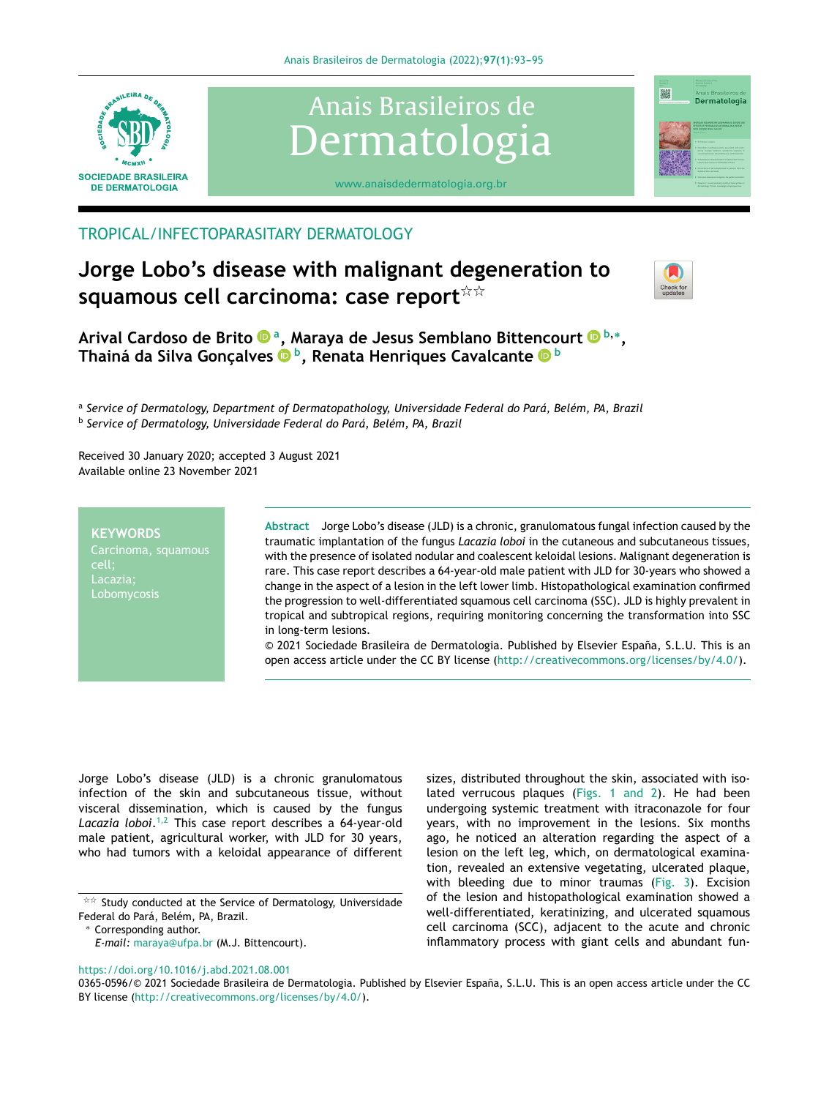



[www.anaisdedermatologia.org.br](http://www.abd.org)

## TROPICAL/INFECTOPARASITARY DERMATOLOGY

# **Jorge Lobo's disease with malignant degeneration to**  $\mathsf{s}$ quamous cell carcinoma: case report $\mathsf{\hat{x}}\mathsf{\hat{x}}$



灘

Dermatologia

**Arival Cardoso de Brit[o](https://orcid.org/0000-0002-7133-5321) <sup>a</sup> , Maraya de Jesus Semblano Bittencour[t](https://orcid.org/0000-0002-7297-0749) <sup>b</sup>**,<sup>∗</sup> **, Thainá da Silva Gonc¸alves <sup>b</sup> , Renata Henriques Cavalcante <sup>b</sup>**

a *Service of Dermatology, Department of Dermatopathology, Universidade Federal do Pará, Belém, PA, Brazil* b *Service of Dermatology, Universidade Federal do Pará, Belém, PA, Brazil*

Received 30 January 2020; accepted 3 August 2021 Available online 23 November 2021

#### **KEYWORDS**

cell; Lacazia; Lobomycosis **Abstract** Jorge Lobo's disease (JLD) is a chronic, granulomatous fungal infection caused by the traumatic implantation of the fungus *Lacazia loboi* in the cutaneous and subcutaneous tissues, with the presence of isolated nodular and coalescent keloidal lesions. Malignant degeneration is rare. This case report describes a 64-year-old male patient with JLD for 30-years who showed a change in the aspect of a lesion in the left lower limb. Histopathological examination confirmed the progression to well-differentiated squamous cell carcinoma (SSC). JLD is highly prevalent in tropical and subtropical regions, requiring monitoring concerning the transformation into SSC in long-term lesions.

© 2021 Sociedade Brasileira de Dermatologia. Published by Elsevier Espana, ˜ S.L.U. This is an open access article under the CC BY license (<http://creativecommons.org/licenses/by/4.0/>).

Jorge Lobo's disease (JLD) is a chronic granulomatous infection of the skin and subcutaneous tissue, without visceral dissemination, which is caused by the fungus *Lacazia loboi*. [1,2](#page-2-0) This case report describes a 64-year-old male patient, agricultural worker, with JLD for 30 years, who had tumors with a keloidal appearance of different

sizes, distributed throughout the skin, associated with isolated verrucous plaques [\(Figs.](#page-1-0) 1 and 2). He had been undergoing systemic treatment with itraconazole for four years, with no improvement in the lesions. Six months ago, he noticed an alteration regarding the aspect of a lesion on the left leg, which, on dermatological examination, revealed an extensive vegetating, ulcerated plaque, with bleeding due to minor traumas ([Fig.](#page-1-0) 3). Excision of the lesion and histopathological examination showed a well-differentiated, keratinizing, and ulcerated squamous cell carcinoma (SCC), adjacent to the acute and chronic inflammatory process with giant cells and abundant fun-

#### <https://doi.org/10.1016/j.abd.2021.08.001>

 $\overrightarrow{x}$  Study conducted at the Service of Dermatology, Universidade Federal do Pará, Belém, PA, Brazil.

<sup>∗</sup> Corresponding author.

*E-mail:* [maraya@ufpa.br](mailto:maraya@ufpa.br) (M.J. Bittencourt).

<sup>0365-0596/© 2021</sup> Sociedade Brasileira de Dermatologia. Published by Elsevier España, S.L.U. This is an open access article under the CC BY license [\(http://creativecommons.org/licenses/by/4.0/\)](http://creativecommons.org/licenses/by/4.0/).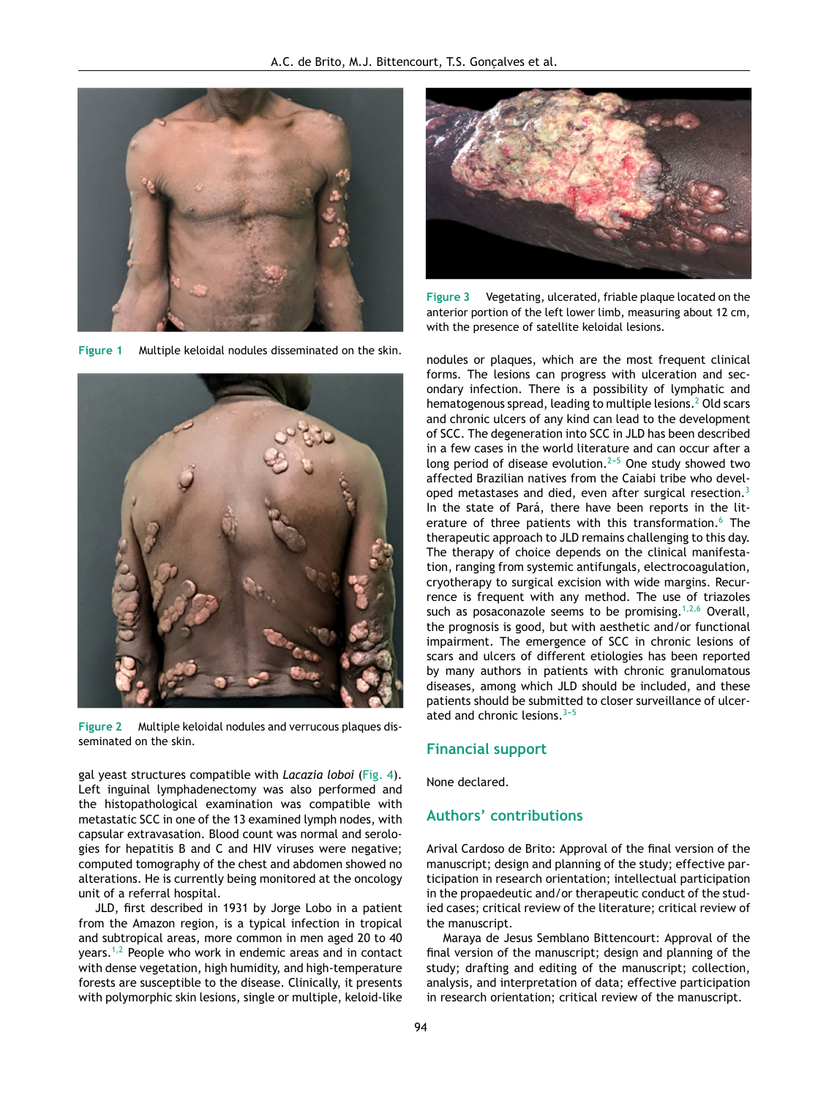<span id="page-1-0"></span>

**Figure 1** Multiple keloidal nodules disseminated on the skin.



**Figure 2** Multiple keloidal nodules and verrucous plaques disseminated on the skin.

gal yeast structures compatible with *Lacazia loboi* [\(Fig.](#page-2-0) 4). Left inguinal lymphadenectomy was also performed and the histopathological examination was compatible with metastatic SCC in one of the 13 examined lymph nodes, with capsular extravasation. Blood count was normal and serologies for hepatitis B and C and HIV viruses were negative; computed tomography of the chest and abdomen showed no alterations. He is currently being monitored at the oncology unit of a referral hospital.

JLD, first described in 1931 by Jorge Lobo in a patient from the Amazon region, is a typical infection in tropical and subtropical areas, more common in men aged 20 to 40 years. $1,2$  People who work in endemic areas and in contact with dense vegetation, high humidity, and high-temperature forests are susceptible to the disease. Clinically, it presents with polymorphic skin lesions, single or multiple, keloid-like



**Figure 3** Vegetating, ulcerated, friable plaque located on the anterior portion of the left lower limb, measuring about 12 cm, with the presence of satellite keloidal lesions.

nodules or plaques, which are the most frequent clinical forms. The lesions can progress with ulceration and secondary infection. There is a possibility of lymphatic and hematogenous spread, leading to multiple lesions.<sup>2</sup> [O](#page-2-0)ld scars and chronic ulcers of any kind can lead to the development of SCC. The degeneration into SCC in JLD has been described in a few cases in the world literature and can occur after a long period of disease evolution.<sup> $2-5$ </sup> One study showed two affected Brazilian natives from the Caiabi tribe who devel-oped metastases and died, even after surgical resection.<sup>[3](#page-2-0)</sup> In the state of Pará, there have been reports in the lit-erature of three patients with this transformation.<sup>[6](#page-2-0)</sup> The therapeutic approach to JLD remains challenging to this day. The therapy of choice depends on the clinical manifestation, ranging from systemic antifungals, electrocoagulation, cryotherapy to surgical excision with wide margins. Recurrence is frequent with any method. The use of triazoles such as posaconazole seems to be promising.<sup>[1,2,6](#page-2-0)</sup> Overall, the prognosis is good, but with aesthetic and/or functional impairment. The emergence of SCC in chronic lesions of scars and ulcers of different etiologies has been reported by many authors in patients with chronic granulomatous diseases, among which JLD should be included, and these patients should be submitted to closer surveillance of ulcerated and chronic lesions.  $3-5$ 

#### **Financial support**

None declared.

### **Authors' contributions**

Arival Cardoso de Brito: Approval of the final version of the manuscript; design and planning of the study; effective participation in research orientation; intellectual participation in the propaedeutic and/or therapeutic conduct of the studied cases; critical review of the literature; critical review of the manuscript.

Maraya de Jesus Semblano Bittencourt: Approval of the final version of the manuscript; design and planning of the study; drafting and editing of the manuscript; collection, analysis, and interpretation of data; effective participation in research orientation; critical review of the manuscript.